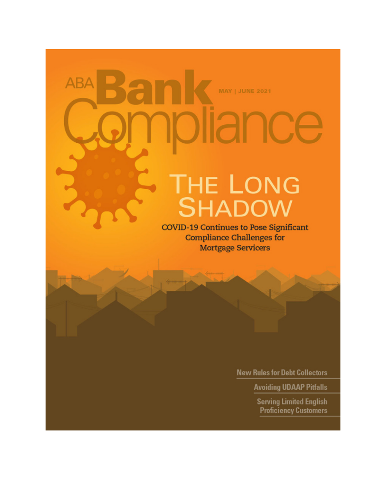# **ABA MAY | JUNE 2021** THE LONG<br>SHADOW

**COVID-19 Continues to Pose Significant Compliance Challenges for Mortgage Servicers** 

**New Rules for Debt Collectors** 

**Avoiding UDAAP Pitfalls** 

**Serving Limited English Proficiency Customers**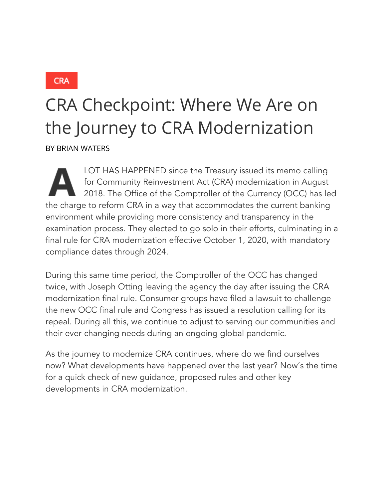**CRA** 

## CRA Checkpoint: Where We Are on the Journey to CRA Modernization

BY BRIAN WATERS

LOT HAS HAPPENED since the Treasury issued its memo calling for Community Reinvestment Act (CRA) modernization in August 2018. The Office of the Comptroller of the Currency (OCC) has led the charge to reform CRA in a way that accommodates the current banking environment while providing more consistency and transparency in the examination process. They elected to go solo in their efforts, culminating in a final rule for CRA modernization effective October 1, 2020, with mandatory compliance dates through 2024.

During this same time period, the Comptroller of the OCC has changed twice, with Joseph Otting leaving the agency the day after issuing the CRA modernization final rule. Consumer groups have filed a lawsuit to challenge the new OCC final rule and Congress has issued a resolution calling for its repeal. During all this, we continue to adjust to serving our communities and their ever-changing needs during an ongoing global pandemic.

As the journey to modernize CRA continues, where do we find ourselves now? What developments have happened over the last year? Now's the time for a quick check of new guidance, proposed rules and other key developments in CRA modernization.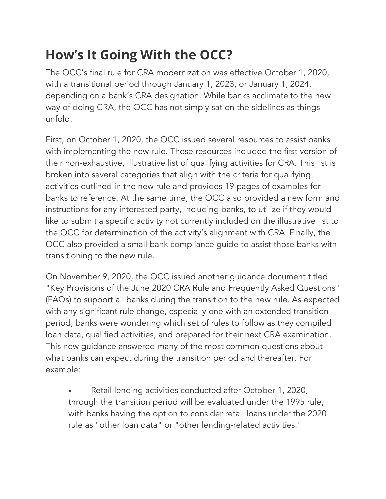### **How's It Going With the OCC?**

The OCC's final rule for CRA modernization was effective October 1, 2020, with a transitional period through January 1, 2023, or January 1, 2024, depending on a bank's CRA designation. While banks acclimate to the new way of doing CRA, the OCC has not simply sat on the sidelines as things unfold.

First, on October 1, 2020, the OCC issued several resources to assist banks with implementing the new rule. These resources included the first version of their non-exhaustive, illustrative list of qualifying activities for CRA. This list is broken into several categories that align with the criteria for qualifying activities outlined in the new rule and provides 19 pages of examples for banks to reference. At the same time, the OCC also provided a new form and instructions for any interested party, including banks, to utilize if they would like to submit a specific activity not currently included on the illustrative list to the OCC for determination of the activity's alignment with CRA. Finally, the OCC also provided a small bank compliance guide to assist those banks with transitioning to the new rule.

On November 9, 2020, the OCC issued another guidance document titled "Key Provisions of the June 2020 CRA Rule and Frequently Asked Questions" (FAQs) to support all banks during the transition to the new rule. As expected with any significant rule change, especially one with an extended transition period, banks were wondering which set of rules to follow as they compiled loan data, qualified activities, and prepared for their next CRA examination. This new guidance answered many of the most common questions about what banks can expect during the transition period and thereafter. For example:

• Retail lending activities conducted after October 1, 2020, through the transition period will be evaluated under the 1995 rule, with banks having the option to consider retail loans under the 2020 rule as "other loan data" or "other lending-related activities."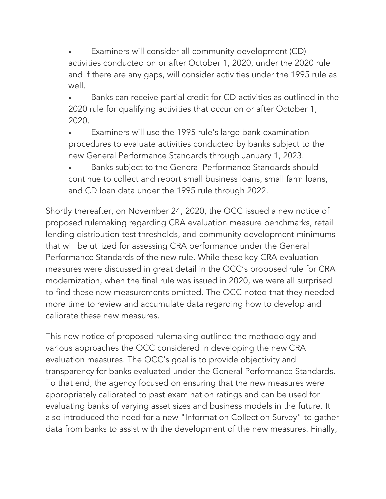Examiners will consider all community development (CD) activities conducted on or after October 1, 2020, under the 2020 rule and if there are any gaps, will consider activities under the 1995 rule as well.

• Banks can receive partial credit for CD activities as outlined in the 2020 rule for qualifying activities that occur on or after October 1, 2020.

• Examiners will use the 1995 rule's large bank examination procedures to evaluate activities conducted by banks subject to the new General Performance Standards through January 1, 2023.

• Banks subject to the General Performance Standards should continue to collect and report small business loans, small farm loans, and CD loan data under the 1995 rule through 2022.

Shortly thereafter, on November 24, 2020, the OCC issued a new notice of proposed rulemaking regarding CRA evaluation measure benchmarks, retail lending distribution test thresholds, and community development minimums that will be utilized for assessing CRA performance under the General Performance Standards of the new rule. While these key CRA evaluation measures were discussed in great detail in the OCC's proposed rule for CRA modernization, when the final rule was issued in 2020, we were all surprised to find these new measurements omitted. The OCC noted that they needed more time to review and accumulate data regarding how to develop and calibrate these new measures.

This new notice of proposed rulemaking outlined the methodology and various approaches the OCC considered in developing the new CRA evaluation measures. The OCC's goal is to provide objectivity and transparency for banks evaluated under the General Performance Standards. To that end, the agency focused on ensuring that the new measures were appropriately calibrated to past examination ratings and can be used for evaluating banks of varying asset sizes and business models in the future. It also introduced the need for a new "Information Collection Survey" to gather data from banks to assist with the development of the new measures. Finally,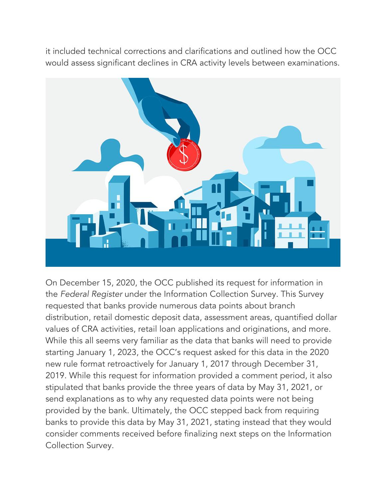it included technical corrections and clarifications and outlined how the OCC would assess significant declines in CRA activity levels between examinations.



On December 15, 2020, the OCC published its request for information in the *Federal Register* under the Information Collection Survey. This Survey requested that banks provide numerous data points about branch distribution, retail domestic deposit data, assessment areas, quantified dollar values of CRA activities, retail loan applications and originations, and more. While this all seems very familiar as the data that banks will need to provide starting January 1, 2023, the OCC's request asked for this data in the 2020 new rule format retroactively for January 1, 2017 through December 31, 2019. While this request for information provided a comment period, it also stipulated that banks provide the three years of data by May 31, 2021, or send explanations as to why any requested data points were not being provided by the bank. Ultimately, the OCC stepped back from requiring banks to provide this data by May 31, 2021, stating instead that they would consider comments received before finalizing next steps on the Information Collection Survey.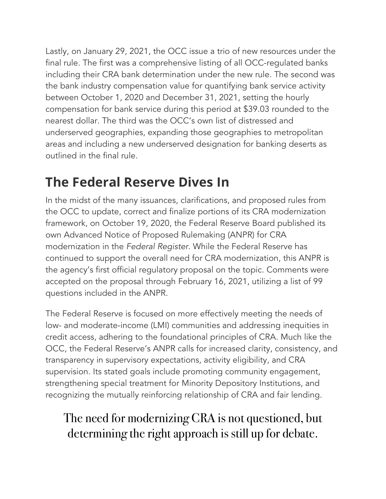Lastly, on January 29, 2021, the OCC issue a trio of new resources under the final rule. The first was a comprehensive listing of all OCC-regulated banks including their CRA bank determination under the new rule. The second was the bank industry compensation value for quantifying bank service activity between October 1, 2020 and December 31, 2021, setting the hourly compensation for bank service during this period at \$39.03 rounded to the nearest dollar. The third was the OCC's own list of distressed and underserved geographies, expanding those geographies to metropolitan areas and including a new underserved designation for banking deserts as outlined in the final rule.

#### **The Federal Reserve Dives In**

In the midst of the many issuances, clarifications, and proposed rules from the OCC to update, correct and finalize portions of its CRA modernization framework, on October 19, 2020, the Federal Reserve Board published its own Advanced Notice of Proposed Rulemaking (ANPR) for CRA modernization in the *Federal Register*. While the Federal Reserve has continued to support the overall need for CRA modernization, this ANPR is the agency's first official regulatory proposal on the topic. Comments were accepted on the proposal through February 16, 2021, utilizing a list of 99 questions included in the ANPR.

The Federal Reserve is focused on more effectively meeting the needs of low- and moderate-income (LMI) communities and addressing inequities in credit access, adhering to the foundational principles of CRA. Much like the OCC, the Federal Reserve's ANPR calls for increased clarity, consistency, and transparency in supervisory expectations, activity eligibility, and CRA supervision. Its stated goals include promoting community engagement, strengthening special treatment for Minority Depository Institutions, and recognizing the mutually reinforcing relationship of CRA and fair lending.

#### The need for modernizing CRA is not questioned, but determining the right approach is still up for debate.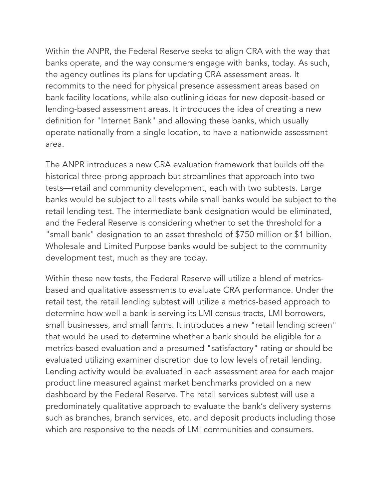Within the ANPR, the Federal Reserve seeks to align CRA with the way that banks operate, and the way consumers engage with banks, today. As such, the agency outlines its plans for updating CRA assessment areas. It recommits to the need for physical presence assessment areas based on bank facility locations, while also outlining ideas for new deposit-based or lending-based assessment areas. It introduces the idea of creating a new definition for "Internet Bank" and allowing these banks, which usually operate nationally from a single location, to have a nationwide assessment area.

The ANPR introduces a new CRA evaluation framework that builds off the historical three-prong approach but streamlines that approach into two tests—retail and community development, each with two subtests. Large banks would be subject to all tests while small banks would be subject to the retail lending test. The intermediate bank designation would be eliminated, and the Federal Reserve is considering whether to set the threshold for a "small bank" designation to an asset threshold of \$750 million or \$1 billion. Wholesale and Limited Purpose banks would be subject to the community development test, much as they are today.

Within these new tests, the Federal Reserve will utilize a blend of metricsbased and qualitative assessments to evaluate CRA performance. Under the retail test, the retail lending subtest will utilize a metrics-based approach to determine how well a bank is serving its LMI census tracts, LMI borrowers, small businesses, and small farms. It introduces a new "retail lending screen" that would be used to determine whether a bank should be eligible for a metrics-based evaluation and a presumed "satisfactory" rating or should be evaluated utilizing examiner discretion due to low levels of retail lending. Lending activity would be evaluated in each assessment area for each major product line measured against market benchmarks provided on a new dashboard by the Federal Reserve. The retail services subtest will use a predominately qualitative approach to evaluate the bank's delivery systems such as branches, branch services, etc. and deposit products including those which are responsive to the needs of LMI communities and consumers.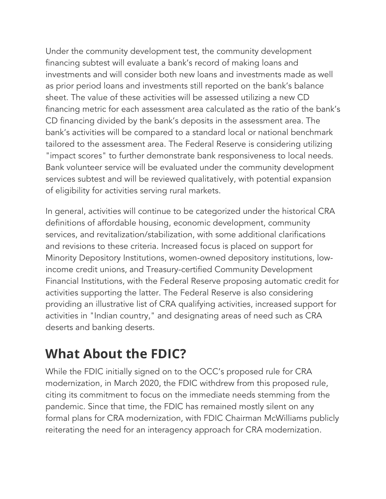Under the community development test, the community development financing subtest will evaluate a bank's record of making loans and investments and will consider both new loans and investments made as well as prior period loans and investments still reported on the bank's balance sheet. The value of these activities will be assessed utilizing a new CD financing metric for each assessment area calculated as the ratio of the bank's CD financing divided by the bank's deposits in the assessment area. The bank's activities will be compared to a standard local or national benchmark tailored to the assessment area. The Federal Reserve is considering utilizing "impact scores" to further demonstrate bank responsiveness to local needs. Bank volunteer service will be evaluated under the community development services subtest and will be reviewed qualitatively, with potential expansion of eligibility for activities serving rural markets.

In general, activities will continue to be categorized under the historical CRA definitions of affordable housing, economic development, community services, and revitalization/stabilization, with some additional clarifications and revisions to these criteria. Increased focus is placed on support for Minority Depository Institutions, women-owned depository institutions, lowincome credit unions, and Treasury-certified Community Development Financial Institutions, with the Federal Reserve proposing automatic credit for activities supporting the latter. The Federal Reserve is also considering providing an illustrative list of CRA qualifying activities, increased support for activities in "Indian country," and designating areas of need such as CRA deserts and banking deserts.

#### **What About the FDIC?**

While the FDIC initially signed on to the OCC's proposed rule for CRA modernization, in March 2020, the FDIC withdrew from this proposed rule, citing its commitment to focus on the immediate needs stemming from the pandemic. Since that time, the FDIC has remained mostly silent on any formal plans for CRA modernization, with FDIC Chairman McWilliams publicly reiterating the need for an interagency approach for CRA modernization.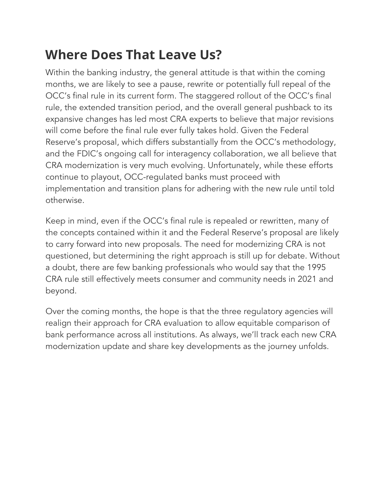#### **Where Does That Leave Us?**

Within the banking industry, the general attitude is that within the coming months, we are likely to see a pause, rewrite or potentially full repeal of the OCC's final rule in its current form. The staggered rollout of the OCC's final rule, the extended transition period, and the overall general pushback to its expansive changes has led most CRA experts to believe that major revisions will come before the final rule ever fully takes hold. Given the Federal Reserve's proposal, which differs substantially from the OCC's methodology, and the FDIC's ongoing call for interagency collaboration, we all believe that CRA modernization is very much evolving. Unfortunately, while these efforts continue to playout, OCC-regulated banks must proceed with implementation and transition plans for adhering with the new rule until told otherwise.

Keep in mind, even if the OCC's final rule is repealed or rewritten, many of the concepts contained within it and the Federal Reserve's proposal are likely to carry forward into new proposals. The need for modernizing CRA is not questioned, but determining the right approach is still up for debate. Without a doubt, there are few banking professionals who would say that the 1995 CRA rule still effectively meets consumer and community needs in 2021 and beyond.

Over the coming months, the hope is that the three regulatory agencies will realign their approach for CRA evaluation to allow equitable comparison of bank performance across all institutions. As always, we'll track each new CRA modernization update and share key developments as the journey unfolds.